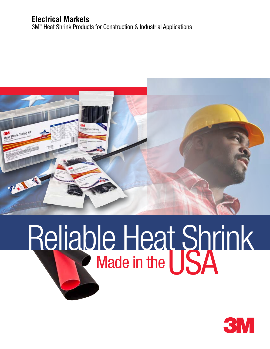### **Electrical Markets**

3M™ Heat Shrink Products for Construction & Industrial Applications



# Reliable Heat Shrink Made in the

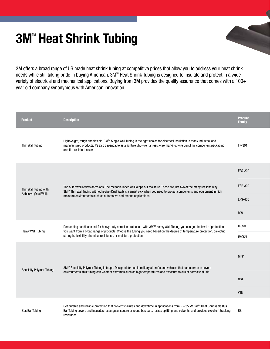## **3M<sup>"</sup> Heat Shrink Tubing**

3M offers a broad range of US made heat shrink tubing at competitive prices that allow you to address your heat shrink needs while still taking pride in buying American. 3M™ Heat Shrink Tubing is designed to insulate and protect in a wide variety of electrical and mechanical applications. Buying from 3M provides the quality assurance that comes with a 100+ year old company synonymous with American innovation.

|  | <b>Product</b>                                | <b>Description</b>                                                                                                                                                                                                                                                                                                        | <b>Product</b><br><b>Family</b> |
|--|-----------------------------------------------|---------------------------------------------------------------------------------------------------------------------------------------------------------------------------------------------------------------------------------------------------------------------------------------------------------------------------|---------------------------------|
|  | Thin Wall Tubing                              | Lightweight, tough and flexible. 3M™ Single Wall Tubing is the right choice for electrical insulation in many industrial and<br>manufactured products. It's also dependable as a lightweight wire harness, wire marking, wire bundling, component packaging<br>and fire-resistant cover.                                  | FP-301                          |
|  | Thin Wall Tubing with<br>Adhesive (Dual Wall) |                                                                                                                                                                                                                                                                                                                           | <b>EPS-200</b>                  |
|  |                                               | The outer wall resists abrasions. The meltable inner wall keeps out moisture. These are just two of the many reasons why<br>3M™ Thin Wall Tubing with Adhesive (Dual Wall) is a smart pick when you need to protect components and equipment in high<br>moisture environments such as automotive and marine applications. | ESP-300                         |
|  |                                               |                                                                                                                                                                                                                                                                                                                           | <b>EPS-400</b>                  |
|  |                                               |                                                                                                                                                                                                                                                                                                                           | <b>MW</b>                       |
|  | <b>Heavy Wall Tubing</b>                      | <b>ITCSN</b><br>Demanding conditions call for heavy-duty abrasion protection. With 3M™ Heavy Wall Tubing, you can get the level of protection<br>you want from a broad range of products. Choose the tubing you need based on the degree of temperature protection, dielectric                                            |                                 |
|  |                                               | strength, flexibility, chemical resistance, or moisture protection.                                                                                                                                                                                                                                                       | <b>IMCSN</b>                    |
|  | <b>Specialty Polymer Tubing</b>               | 3M™ Specialty Polymer Tubing is tough. Designed for use in military aircrafts and vehicles that can operate in severe                                                                                                                                                                                                     | <b>MFP</b>                      |
|  |                                               | environments, this tubing can weather extremes such as high temperatures and exposure to oils or corrosive fluids.                                                                                                                                                                                                        | <b>NST</b>                      |
|  |                                               |                                                                                                                                                                                                                                                                                                                           | <b>VTN</b>                      |
|  | <b>Bus Bar Tubing</b>                         | Get durable and reliable protection that prevents failures and downtime in applications from 5 - 35 kV. 3M™ Heat Shrinkable Bus<br>Bar Tubing covers and insulates rectangular, square or round bus bars, resists splitting and solvents, and provides excellent tracking<br>resistance.                                  | <b>BBI</b>                      |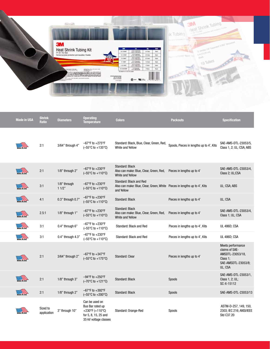| 3M<br>m.<br>$\sim$<br>۰<br>$\blacksquare$<br>Heat Shrink Tubing Kit<br>THIS SERVICE<br>or tax<br><b>Ban</b><br>2010/08/07<br>6 in (15,24 cm)<br><b>STATISTICS</b><br>General purpose protection and insulation, Fiexible<br><b>WILDER</b><br>20 hours<br><b>Bar</b><br><b>Sources O.CO3" Reco</b> rding<br><b>BAASE IN T</b><br><b>USON</b><br><b>STATISTICS</b><br>o terretamente<br>TE SHAFT.<br>20 have<br>Date.<br><b>CEA</b><br>10 Tubes<br>All Chesser<br>1,1447<br>14 have<br><b>Bax</b><br>$-24$ in Expensed<br>6 hass<br>4.01.682<br><b>June</b><br><b>CONTRACTOR</b><br>4110.007<br>4 him.<br><b>Suit</b><br>The Marie<br>102 lost for (TLF) until been<br>$\frac{1}{2}$<br>in them I at the I level data dealer for the lead a participational<br>$e - w -$<br>Canada or Porto<br>400460 | <b>Contract</b><br>Atlanta | and a second distance from |  | Heat Shrink Tubing<br>ik Tubing          |
|-----------------------------------------------------------------------------------------------------------------------------------------------------------------------------------------------------------------------------------------------------------------------------------------------------------------------------------------------------------------------------------------------------------------------------------------------------------------------------------------------------------------------------------------------------------------------------------------------------------------------------------------------------------------------------------------------------------------------------------------------------------------------------------------------------|----------------------------|----------------------------|--|------------------------------------------|
|                                                                                                                                                                                                                                                                                                                                                                                                                                                                                                                                                                                                                                                                                                                                                                                                     |                            |                            |  | D. Onrido 176° Expanded D.DEZ" Recovered |
|                                                                                                                                                                                                                                                                                                                                                                                                                                                                                                                                                                                                                                                                                                                                                                                                     |                            |                            |  |                                          |
|                                                                                                                                                                                                                                                                                                                                                                                                                                                                                                                                                                                                                                                                                                                                                                                                     |                            |                            |  |                                          |

| <b>Made in USA</b> | <b>Shrink</b><br><b>Ratio</b> | <b>Diameters</b>      | <b>Operating</b><br><b>Temperature</b>                                                                 | <b>Colors</b>                                                                                                      | <b>Packouts</b>                          | <b>Specification</b>                                                                                  |
|--------------------|-------------------------------|-----------------------|--------------------------------------------------------------------------------------------------------|--------------------------------------------------------------------------------------------------------------------|------------------------------------------|-------------------------------------------------------------------------------------------------------|
|                    | 2:1                           | 3/64" through 4"      | $-67^{\circ}$ F to $+275^{\circ}$ F<br>$(-55^{\circ}C \text{ to } +135^{\circ}C)$                      | Standard: Black, Blue, Clear, Green, Red,<br>White and Yellow                                                      | Spools, Pieces in lengths up to 4', Kits | SAE-AMS-DTL-23053/5,<br>Class 1, 2; UL; CSA; ABS                                                      |
|                    | 2:1                           | 1/8" through 2"       | $-67^{\circ}$ F to $+230^{\circ}$ F<br>$(-55^{\circ}C \text{ to } +110^{\circ}C)$                      | Standard: Black<br>Also can make: Blue, Clear, Green, Red,<br>White and Yellow                                     | Pieces in lengths up to 4'               | SAE-AMS-DTL-23053/4,<br>Class 2; UL;CSA                                                               |
|                    | 3:1                           | 1/8" through<br>11/2" | $-67^{\circ}$ F to $+230^{\circ}$ F<br>$(-55^{\circ}C \text{ to } +110^{\circ}C)$                      | Standard: Black and Red<br>Also can make: Blue, Clear, Green, White Pieces in lengths up to 4', Kits<br>and Yellow |                                          | UL; CSA; ABS                                                                                          |
|                    | 4:1                           | 0.3" through 0.7"     | $-67^{\circ}$ F to $+230^{\circ}$ F<br>$(-55^{\circ}C \text{ to } +110^{\circ}C)$                      | Standard: Black                                                                                                    | Pieces in lengths up to 4'               | UL: CSA                                                                                               |
| DE IN USA          | 2.5:1                         | 1/8" through 1"       | $-67^{\circ}$ F to $+230^{\circ}$ F<br>$(-55^{\circ}C \text{ to } +110^{\circ}C)$                      | Standard: Black<br>Also can make: Blue, Clear, Green, Red,<br>White and Yellow                                     | Pieces in lengths up to 4'               | SAE-AMS-DTL-23053/4,<br>Class 1; UL; CSA                                                              |
|                    | 3:1                           | 0.4" through 6"       | $-67^{\circ}$ F to $+230^{\circ}$ F<br>$(-55^{\circ}C \text{ to } +110^{\circ}C)$                      | Standard: Black and Red                                                                                            | Pieces in lengths up to 4', Kits         | <b>UL 486D; CSA</b>                                                                                   |
|                    | 3:1                           | 0.4" through 4.3"     | $-67^{\circ}$ F to $+230^{\circ}$ F<br>$(-55^{\circ}C \text{ to } +110^{\circ}C)$                      | Standard: Black and Red                                                                                            | Pieces in lengths up to 4', Kits         | <b>UL 486D; CSA</b>                                                                                   |
|                    | 2:1                           | 3/64" through 2"      | $-67^{\circ}$ F to $+347^{\circ}$ F<br>$(-55^{\circ}C \text{ to } +175^{\circ}C)$                      | <b>Standard: Clear</b>                                                                                             | Pieces in lengths up to 4'               | Meets performance<br>claims of SAE-<br>AMSDTL-23053/18,<br>Class 1:<br>SAE-AMSDTL-23053/8;<br>UL; CSA |
|                    | 2:1                           | 1/8" through 3"       | $-94^{\circ}$ F to $+250^{\circ}$ F<br>$(-70^{\circ}C \text{ to } +121^{\circ}C)$                      | Standard: Black                                                                                                    | Spools                                   | SAE-AMS-DTL-23053/1,<br>Class 1, 2; UL;<br>SC-X-15112                                                 |
|                    | 2:1                           | 1/8" through 2"       | $-67^{\circ}$ F to $+392^{\circ}$ F<br>$(-55^{\circ}C \text{ to } +200^{\circ}C)$                      | <b>Standard: Black</b>                                                                                             | <b>Spools</b>                            | SAE-AMS-DTL-23053/13                                                                                  |
|                    | Sized to<br>application       | 3" through 10"        | Can be used on<br>Bus Bar rated up<br>+230°F (+110°C)<br>for 5, 8, 15, 25 and<br>35 kV voltage classes | Standard: Orange-Red                                                                                               | Spools                                   | ASTM-D-257, 149, 150,<br>2303; IEC 216; ANSI/IEEE<br>Std C37.20                                       |